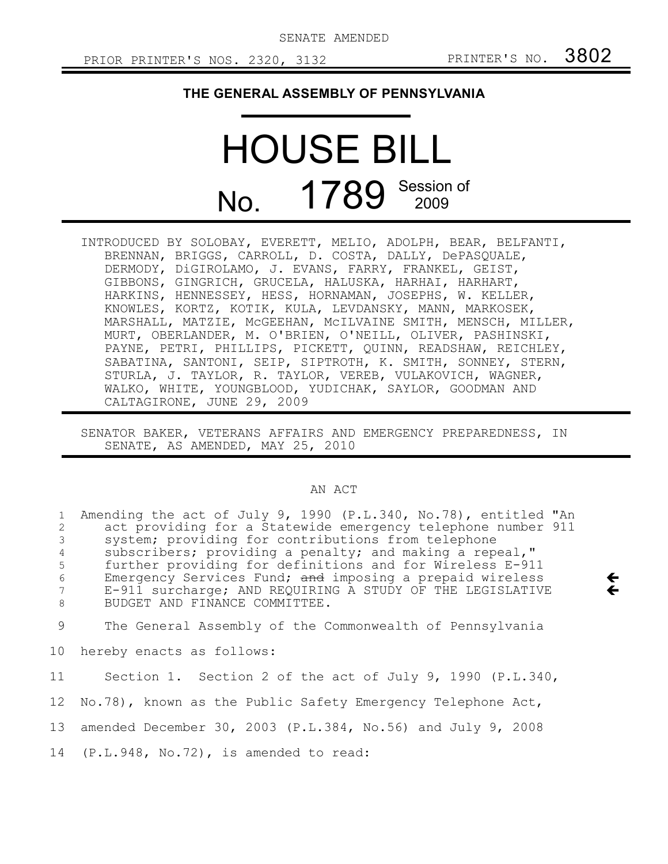SENATE AMENDED

 $\leftarrow$  $\leftarrow$ 

## **THE GENERAL ASSEMBLY OF PENNSYLVANIA**

## HOUSE BILL No. 1789 Session of

INTRODUCED BY SOLOBAY, EVERETT, MELIO, ADOLPH, BEAR, BELFANTI, BRENNAN, BRIGGS, CARROLL, D. COSTA, DALLY, DePASQUALE, DERMODY, DiGIROLAMO, J. EVANS, FARRY, FRANKEL, GEIST, GIBBONS, GINGRICH, GRUCELA, HALUSKA, HARHAI, HARHART, HARKINS, HENNESSEY, HESS, HORNAMAN, JOSEPHS, W. KELLER, KNOWLES, KORTZ, KOTIK, KULA, LEVDANSKY, MANN, MARKOSEK, MARSHALL, MATZIE, McGEEHAN, McILVAINE SMITH, MENSCH, MILLER, MURT, OBERLANDER, M. O'BRIEN, O'NEILL, OLIVER, PASHINSKI, PAYNE, PETRI, PHILLIPS, PICKETT, QUINN, READSHAW, REICHLEY, SABATINA, SANTONI, SEIP, SIPTROTH, K. SMITH, SONNEY, STERN, STURLA, J. TAYLOR, R. TAYLOR, VEREB, VULAKOVICH, WAGNER, WALKO, WHITE, YOUNGBLOOD, YUDICHAK, SAYLOR, GOODMAN AND CALTAGIRONE, JUNE 29, 2009

SENATOR BAKER, VETERANS AFFAIRS AND EMERGENCY PREPAREDNESS, IN SENATE, AS AMENDED, MAY 25, 2010

## AN ACT

| $\mathbf{1}$   | Amending the act of July 9, 1990 (P.L.340, No.78), entitled "An |
|----------------|-----------------------------------------------------------------|
| 2              | act providing for a Statewide emergency telephone number 911    |
| 3              | system; providing for contributions from telephone              |
| $\overline{4}$ | subscribers; providing a penalty; and making a repeal,"         |
| 5              | further providing for definitions and for Wireless E-911        |
| 6              | Emergency Services Fund; and imposing a prepaid wireless        |
| 7              | E-911 surcharge; AND REQUIRING A STUDY OF THE LEGISLATIVE       |
| 8              | BUDGET AND FINANCE COMMITTEE.                                   |
| 9              | The General Assembly of the Commonwealth of Pennsylvania        |
| 10             | hereby enacts as follows:                                       |
| 11             | Section 1. Section 2 of the act of July 9, 1990 (P.L.340,       |
| 12             | No.78), known as the Public Safety Emergency Telephone Act,     |
| 13             | amended December 30, 2003 (P.L.384, No.56) and July 9, 2008     |
|                | 14 (P.L.948, No.72), is amended to read:                        |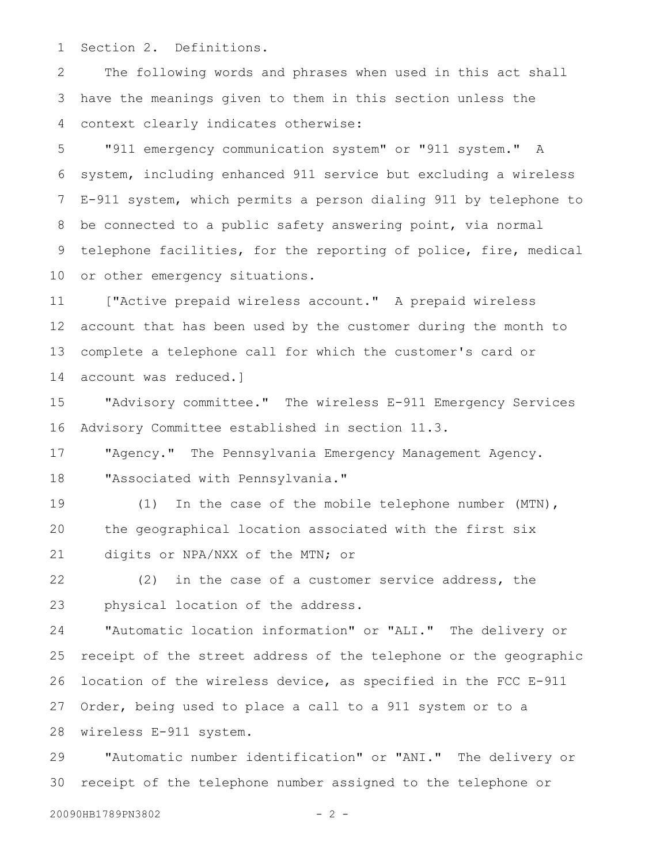Section 2. Definitions. 1

The following words and phrases when used in this act shall have the meanings given to them in this section unless the context clearly indicates otherwise: 2 3 4

"911 emergency communication system" or "911 system." A system, including enhanced 911 service but excluding a wireless E-911 system, which permits a person dialing 911 by telephone to be connected to a public safety answering point, via normal telephone facilities, for the reporting of police, fire, medical or other emergency situations. 5 6 7 8 9 10

["Active prepaid wireless account." A prepaid wireless account that has been used by the customer during the month to complete a telephone call for which the customer's card or account was reduced.] 11 12 13 14

"Advisory committee." The wireless E-911 Emergency Services Advisory Committee established in section 11.3. 15 16

"Agency." The Pennsylvania Emergency Management Agency. "Associated with Pennsylvania." 17 18

(1) In the case of the mobile telephone number (MTN), the geographical location associated with the first six digits or NPA/NXX of the MTN; or 19 20 21

(2) in the case of a customer service address, the physical location of the address. 22 23

"Automatic location information" or "ALI." The delivery or receipt of the street address of the telephone or the geographic location of the wireless device, as specified in the FCC E-911 Order, being used to place a call to a 911 system or to a wireless E-911 system. 24 25 26 27 28

"Automatic number identification" or "ANI." The delivery or receipt of the telephone number assigned to the telephone or 29 30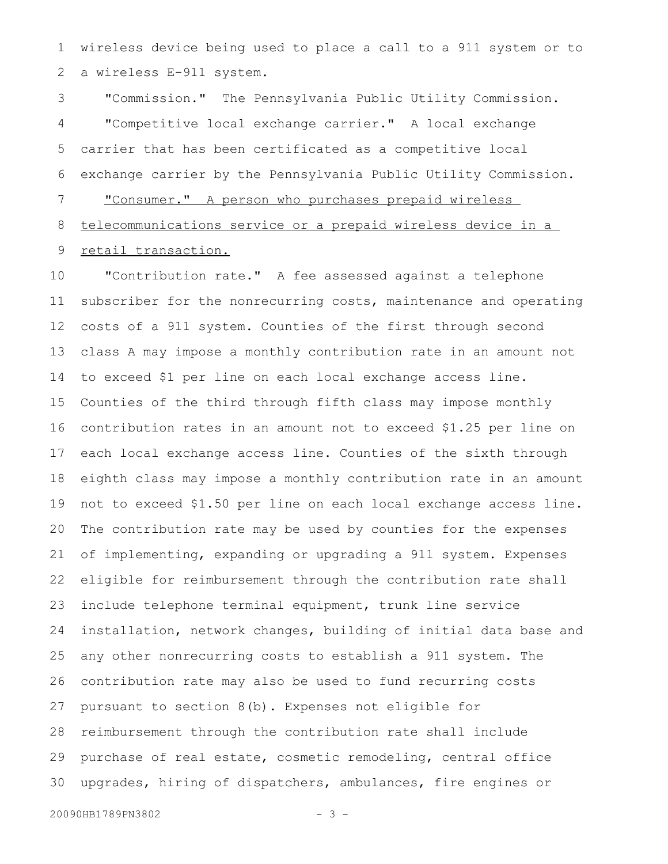wireless device being used to place a call to a 911 system or to a wireless E-911 system. 1 2

"Commission." The Pennsylvania Public Utility Commission. "Competitive local exchange carrier." A local exchange carrier that has been certificated as a competitive local exchange carrier by the Pennsylvania Public Utility Commission. "Consumer." A person who purchases prepaid wireless telecommunications service or a prepaid wireless device in a retail transaction. 3 4 5 6 7 8 9

"Contribution rate." A fee assessed against a telephone subscriber for the nonrecurring costs, maintenance and operating costs of a 911 system. Counties of the first through second class A may impose a monthly contribution rate in an amount not to exceed \$1 per line on each local exchange access line. Counties of the third through fifth class may impose monthly contribution rates in an amount not to exceed \$1.25 per line on each local exchange access line. Counties of the sixth through eighth class may impose a monthly contribution rate in an amount not to exceed \$1.50 per line on each local exchange access line. The contribution rate may be used by counties for the expenses of implementing, expanding or upgrading a 911 system. Expenses eligible for reimbursement through the contribution rate shall include telephone terminal equipment, trunk line service installation, network changes, building of initial data base and any other nonrecurring costs to establish a 911 system. The contribution rate may also be used to fund recurring costs pursuant to section 8(b). Expenses not eligible for reimbursement through the contribution rate shall include purchase of real estate, cosmetic remodeling, central office upgrades, hiring of dispatchers, ambulances, fire engines or 10 11 12 13 14 15 16 17 18 19 20 21 22 23 24 25 26 27 28 29 30

20090HB1789PN3802 - 3 -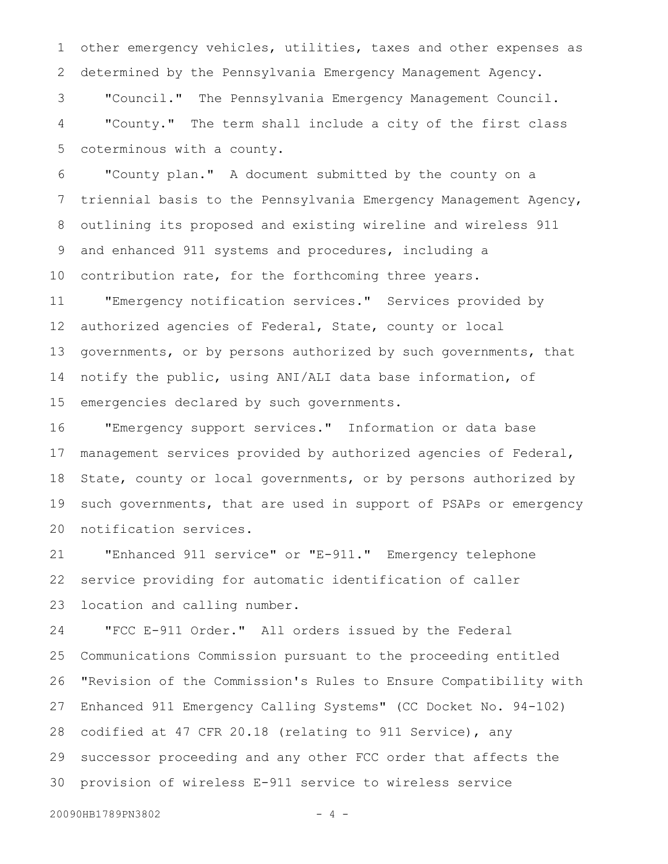other emergency vehicles, utilities, taxes and other expenses as determined by the Pennsylvania Emergency Management Agency. "Council." The Pennsylvania Emergency Management Council. "County." The term shall include a city of the first class 1 2 3 4

coterminous with a county.

5

"County plan." A document submitted by the county on a triennial basis to the Pennsylvania Emergency Management Agency, outlining its proposed and existing wireline and wireless 911 and enhanced 911 systems and procedures, including a contribution rate, for the forthcoming three years. "Emergency notification services." Services provided by 6 7 8 9 10 11

authorized agencies of Federal, State, county or local governments, or by persons authorized by such governments, that notify the public, using ANI/ALI data base information, of emergencies declared by such governments. 12 13 14 15

"Emergency support services." Information or data base management services provided by authorized agencies of Federal, State, county or local governments, or by persons authorized by such governments, that are used in support of PSAPs or emergency notification services. 16 17 18 19 20

"Enhanced 911 service" or "E-911." Emergency telephone service providing for automatic identification of caller location and calling number. 21 22 23

"FCC E-911 Order." All orders issued by the Federal Communications Commission pursuant to the proceeding entitled "Revision of the Commission's Rules to Ensure Compatibility with Enhanced 911 Emergency Calling Systems" (CC Docket No. 94-102) codified at 47 CFR 20.18 (relating to 911 Service), any successor proceeding and any other FCC order that affects the provision of wireless E-911 service to wireless service 24 25 26 27 28 29 30

20090HB1789PN3802 - 4 -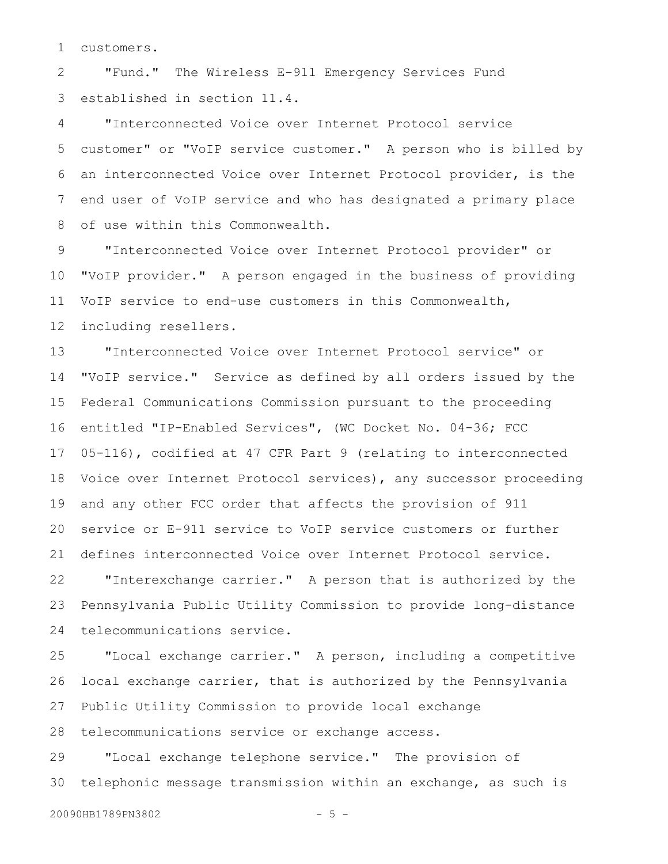customers. 1

"Fund." The Wireless E-911 Emergency Services Fund established in section 11.4. 2 3

"Interconnected Voice over Internet Protocol service customer" or "VoIP service customer." A person who is billed by an interconnected Voice over Internet Protocol provider, is the end user of VoIP service and who has designated a primary place of use within this Commonwealth. 4 5 6 7 8

"Interconnected Voice over Internet Protocol provider" or "VoIP provider." A person engaged in the business of providing VoIP service to end-use customers in this Commonwealth, including resellers. 9 10 11 12

"Interconnected Voice over Internet Protocol service" or "VoIP service." Service as defined by all orders issued by the Federal Communications Commission pursuant to the proceeding entitled "IP-Enabled Services", (WC Docket No. 04-36; FCC 05-116), codified at 47 CFR Part 9 (relating to interconnected Voice over Internet Protocol services), any successor proceeding and any other FCC order that affects the provision of 911 service or E-911 service to VoIP service customers or further defines interconnected Voice over Internet Protocol service. 13 14 15 16 17 18 19 20 21

"Interexchange carrier." A person that is authorized by the Pennsylvania Public Utility Commission to provide long-distance telecommunications service. 22 23 24

"Local exchange carrier." A person, including a competitive local exchange carrier, that is authorized by the Pennsylvania Public Utility Commission to provide local exchange telecommunications service or exchange access. 25 26 27

"Local exchange telephone service." The provision of telephonic message transmission within an exchange, as such is 29 30

20090HB1789PN3802 - 5 -

28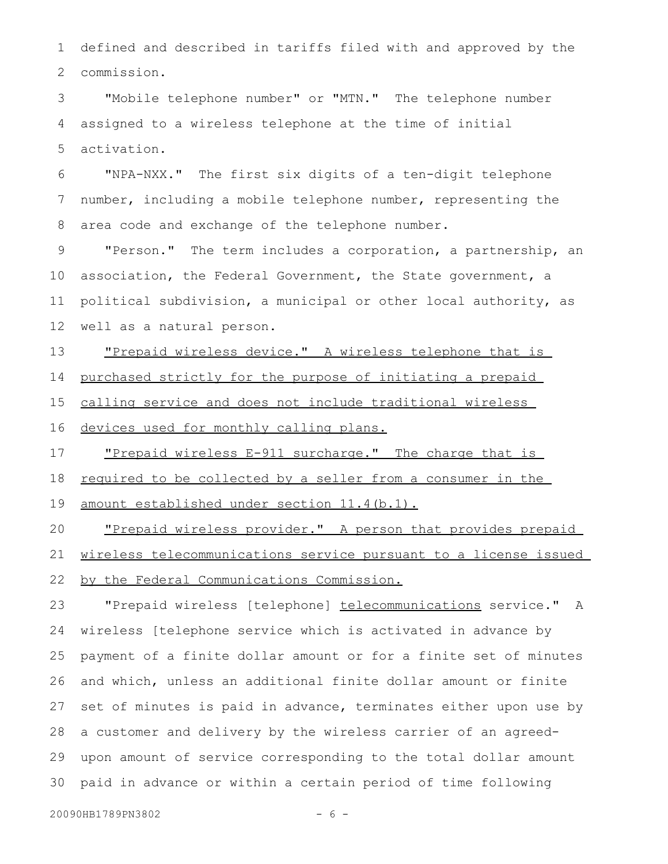defined and described in tariffs filed with and approved by the commission. 1 2

"Mobile telephone number" or "MTN." The telephone number assigned to a wireless telephone at the time of initial activation. 3 4 5

"NPA-NXX." The first six digits of a ten-digit telephone number, including a mobile telephone number, representing the area code and exchange of the telephone number. 6 7 8

"Person." The term includes a corporation, a partnership, an association, the Federal Government, the State government, a political subdivision, a municipal or other local authority, as well as a natural person. 9 10 11 12

"Prepaid wireless device." A wireless telephone that is 13

purchased strictly for the purpose of initiating a prepaid 14

calling service and does not include traditional wireless 15

devices used for monthly calling plans. 16

"Prepaid wireless E-911 surcharge." The charge that is 17

required to be collected by a seller from a consumer in the 18

amount established under section 11.4(b.1). 19

"Prepaid wireless provider." A person that provides prepaid wireless telecommunications service pursuant to a license issued by the Federal Communications Commission. 20 21 22

"Prepaid wireless [telephone] telecommunications service." A wireless [telephone service which is activated in advance by payment of a finite dollar amount or for a finite set of minutes and which, unless an additional finite dollar amount or finite set of minutes is paid in advance, terminates either upon use by a customer and delivery by the wireless carrier of an agreedupon amount of service corresponding to the total dollar amount paid in advance or within a certain period of time following 23 24 25 26 27 28 29 30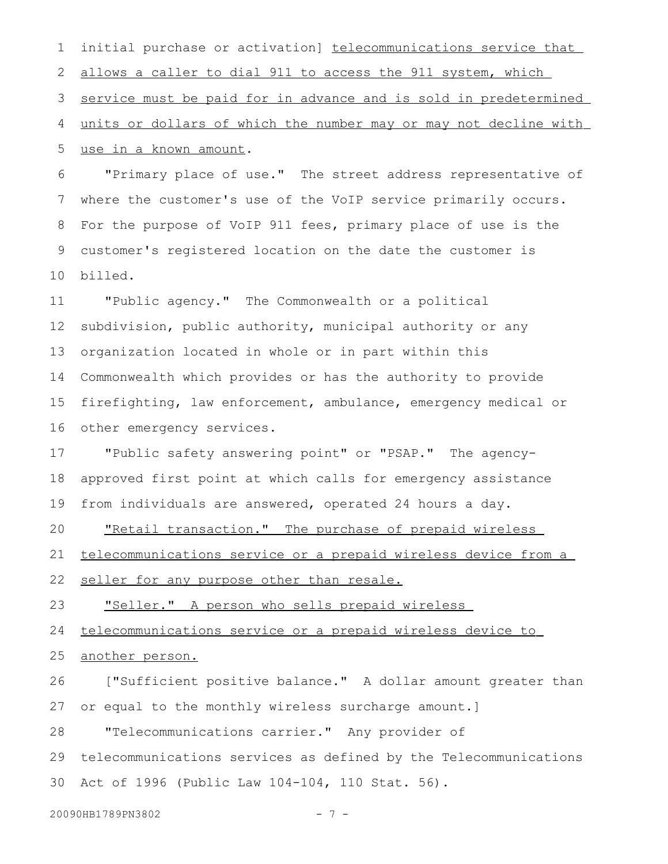initial purchase or activation] telecommunications service that allows a caller to dial 911 to access the 911 system, which service must be paid for in advance and is sold in predetermined units or dollars of which the number may or may not decline with use in a known amount. 1 2 3 4 5

"Primary place of use." The street address representative of where the customer's use of the VoIP service primarily occurs. For the purpose of VoIP 911 fees, primary place of use is the customer's registered location on the date the customer is billed. 6 7 8 9 10

"Public agency." The Commonwealth or a political subdivision, public authority, municipal authority or any organization located in whole or in part within this Commonwealth which provides or has the authority to provide firefighting, law enforcement, ambulance, emergency medical or other emergency services. 11 12 13 14 15 16

"Public safety answering point" or "PSAP." The agencyapproved first point at which calls for emergency assistance from individuals are answered, operated 24 hours a day. 17 18 19

"Retail transaction." The purchase of prepaid wireless 20

 telecommunications service or a prepaid wireless device from a 21

seller for any purpose other than resale. 22

"Seller." A person who sells prepaid wireless 23

 telecommunications service or a prepaid wireless device to 24

another person. 25

["Sufficient positive balance." A dollar amount greater than or equal to the monthly wireless surcharge amount.] 26 27

"Telecommunications carrier." Any provider of 28

telecommunications services as defined by the Telecommunications Act of 1996 (Public Law 104-104, 110 Stat. 56). 29 30

20090HB1789PN3802 - 7 -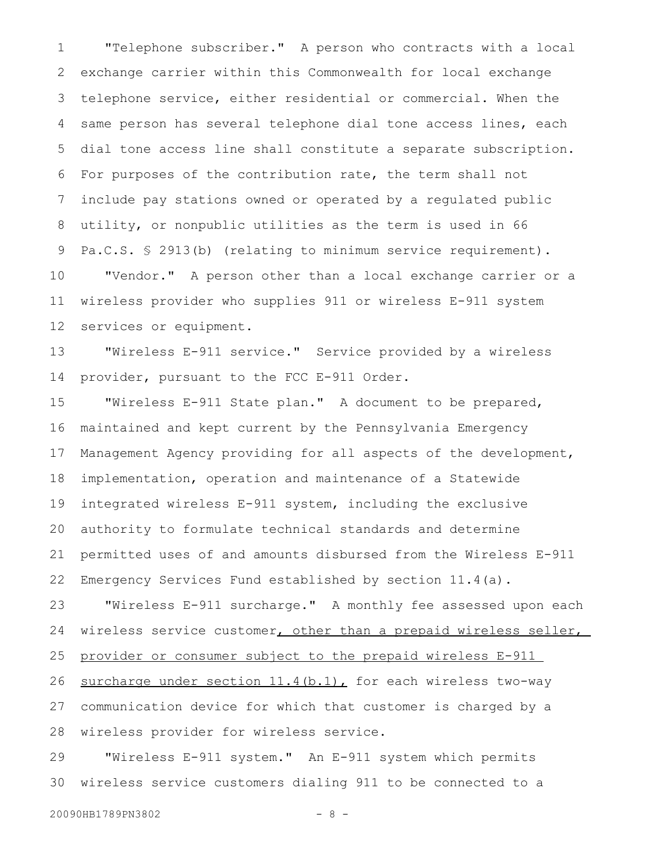"Telephone subscriber." A person who contracts with a local exchange carrier within this Commonwealth for local exchange telephone service, either residential or commercial. When the same person has several telephone dial tone access lines, each dial tone access line shall constitute a separate subscription. For purposes of the contribution rate, the term shall not include pay stations owned or operated by a regulated public utility, or nonpublic utilities as the term is used in 66 Pa.C.S. § 2913(b) (relating to minimum service requirement). "Vendor." A person other than a local exchange carrier or a wireless provider who supplies 911 or wireless E-911 system services or equipment. 1 2 3 4 5 6 7 8 9 10 11 12

"Wireless E-911 service." Service provided by a wireless provider, pursuant to the FCC E-911 Order. 13 14

"Wireless E-911 State plan." A document to be prepared, maintained and kept current by the Pennsylvania Emergency Management Agency providing for all aspects of the development, implementation, operation and maintenance of a Statewide integrated wireless E-911 system, including the exclusive authority to formulate technical standards and determine permitted uses of and amounts disbursed from the Wireless E-911 Emergency Services Fund established by section 11.4(a). 15 16 17 18 19 20 21 22

"Wireless E-911 surcharge." A monthly fee assessed upon each wireless service customer, other than a prepaid wireless seller, provider or consumer subject to the prepaid wireless E-911 surcharge under section 11.4(b.1), for each wireless two-way communication device for which that customer is charged by a wireless provider for wireless service. 23 24 25 26 27 28

"Wireless E-911 system." An E-911 system which permits wireless service customers dialing 911 to be connected to a 29 30

```
20090HB1789PN3802 - 8 -
```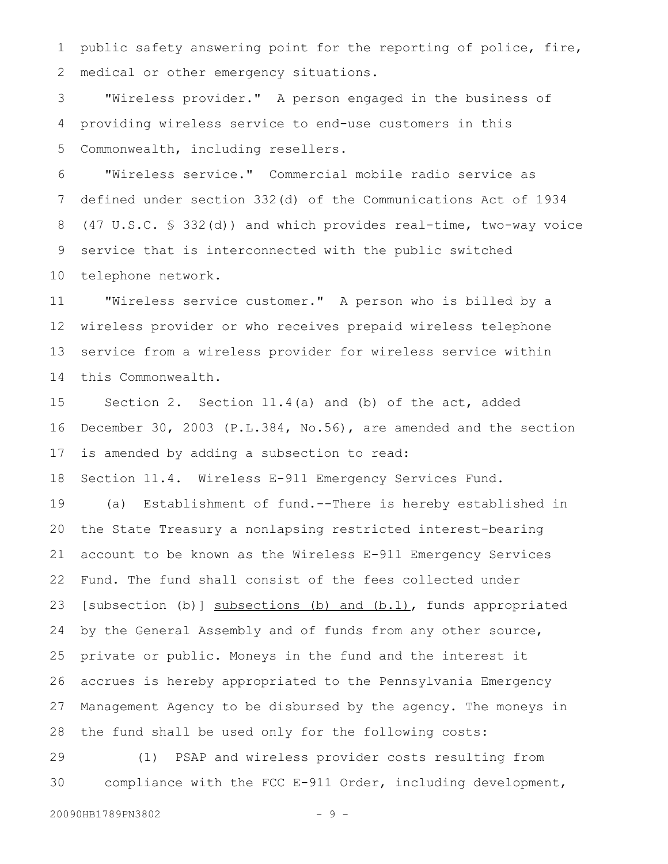public safety answering point for the reporting of police, fire, medical or other emergency situations. 1 2

"Wireless provider." A person engaged in the business of providing wireless service to end-use customers in this Commonwealth, including resellers. 3 4 5

"Wireless service." Commercial mobile radio service as defined under section 332(d) of the Communications Act of 1934 (47 U.S.C. § 332(d)) and which provides real-time, two-way voice service that is interconnected with the public switched telephone network. 6 7 8 9 10

"Wireless service customer." A person who is billed by a wireless provider or who receives prepaid wireless telephone service from a wireless provider for wireless service within this Commonwealth. 11 12 13 14

Section 2. Section 11.4(a) and (b) of the act, added December 30, 2003 (P.L.384, No.56), are amended and the section is amended by adding a subsection to read: 15 16 17

Section 11.4. Wireless E-911 Emergency Services Fund. 18

(a) Establishment of fund.--There is hereby established in the State Treasury a nonlapsing restricted interest-bearing account to be known as the Wireless E-911 Emergency Services Fund. The fund shall consist of the fees collected under [subsection (b)] subsections (b) and (b.1), funds appropriated by the General Assembly and of funds from any other source, private or public. Moneys in the fund and the interest it accrues is hereby appropriated to the Pennsylvania Emergency Management Agency to be disbursed by the agency. The moneys in the fund shall be used only for the following costs: 19 20 21 22 23 24 25 26 27 28

(1) PSAP and wireless provider costs resulting from compliance with the FCC E-911 Order, including development, 29 30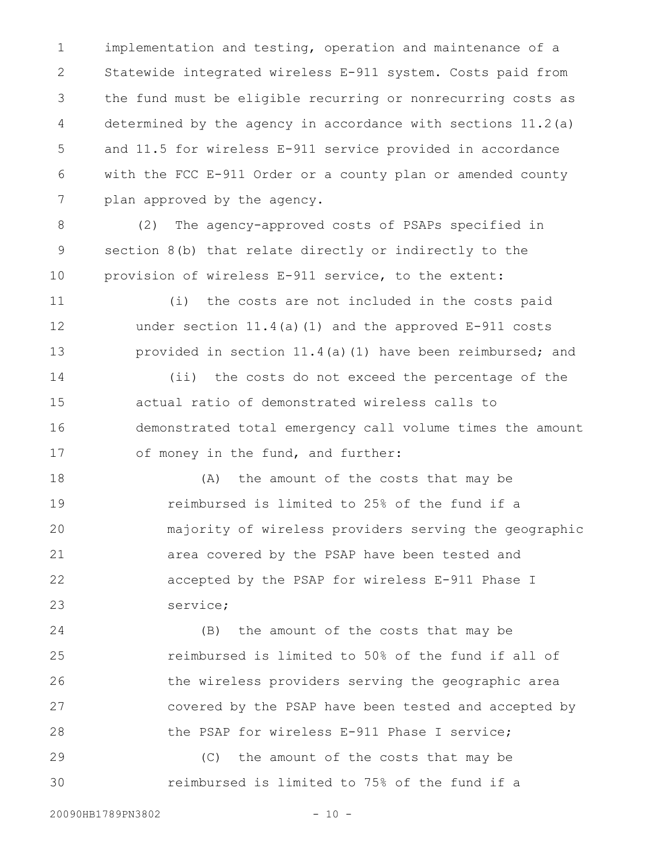implementation and testing, operation and maintenance of a Statewide integrated wireless E-911 system. Costs paid from the fund must be eligible recurring or nonrecurring costs as determined by the agency in accordance with sections 11.2(a) and 11.5 for wireless E-911 service provided in accordance with the FCC E-911 Order or a county plan or amended county plan approved by the agency. 1 2 3 4 5 6 7

(2) The agency-approved costs of PSAPs specified in section 8(b) that relate directly or indirectly to the provision of wireless E-911 service, to the extent: 8 9 10

(i) the costs are not included in the costs paid under section 11.4(a)(1) and the approved E-911 costs provided in section 11.4(a)(1) have been reimbursed; and 11 12 13

(ii) the costs do not exceed the percentage of the actual ratio of demonstrated wireless calls to demonstrated total emergency call volume times the amount of money in the fund, and further: 14 15 16 17

(A) the amount of the costs that may be reimbursed is limited to 25% of the fund if a majority of wireless providers serving the geographic area covered by the PSAP have been tested and accepted by the PSAP for wireless E-911 Phase I service; 18 19 20 21 22 23

(B) the amount of the costs that may be reimbursed is limited to 50% of the fund if all of the wireless providers serving the geographic area covered by the PSAP have been tested and accepted by the PSAP for wireless E-911 Phase I service; 24 25 26 27 28

(C) the amount of the costs that may be reimbursed is limited to 75% of the fund if a 29 30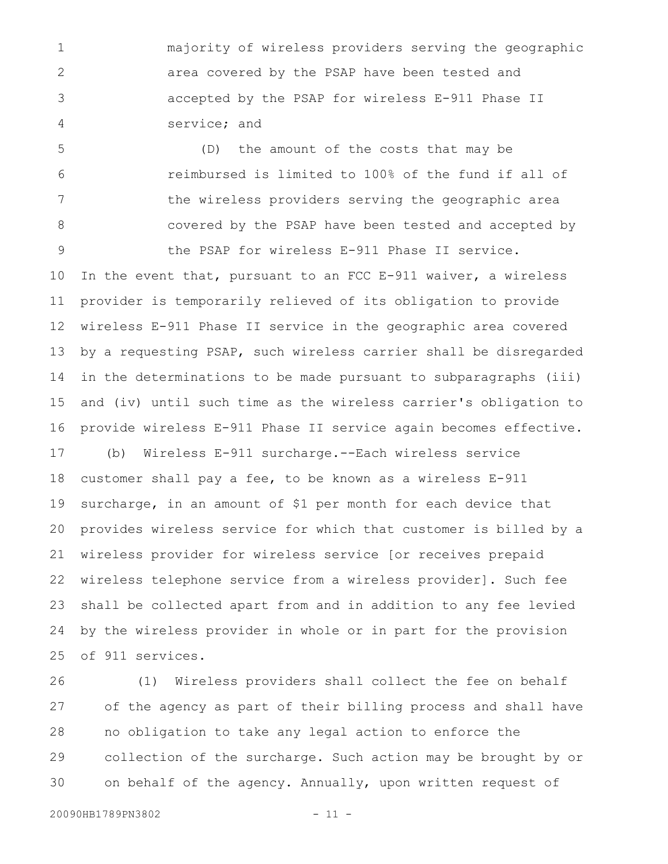majority of wireless providers serving the geographic area covered by the PSAP have been tested and accepted by the PSAP for wireless E-911 Phase II service; and 1 2 3 4

(D) the amount of the costs that may be reimbursed is limited to 100% of the fund if all of the wireless providers serving the geographic area covered by the PSAP have been tested and accepted by the PSAP for wireless E-911 Phase II service. 5 6 7 8 9

In the event that, pursuant to an FCC E-911 waiver, a wireless provider is temporarily relieved of its obligation to provide wireless E-911 Phase II service in the geographic area covered by a requesting PSAP, such wireless carrier shall be disregarded in the determinations to be made pursuant to subparagraphs (iii) and (iv) until such time as the wireless carrier's obligation to provide wireless E-911 Phase II service again becomes effective. 10 11 12 13 14 15 16

(b) Wireless E-911 surcharge.--Each wireless service customer shall pay a fee, to be known as a wireless E-911 surcharge, in an amount of \$1 per month for each device that provides wireless service for which that customer is billed by a wireless provider for wireless service [or receives prepaid wireless telephone service from a wireless provider]. Such fee shall be collected apart from and in addition to any fee levied by the wireless provider in whole or in part for the provision of 911 services. 17 18 19 20 21 22 23 24 25

(1) Wireless providers shall collect the fee on behalf of the agency as part of their billing process and shall have no obligation to take any legal action to enforce the collection of the surcharge. Such action may be brought by or on behalf of the agency. Annually, upon written request of 26 27 28 29 30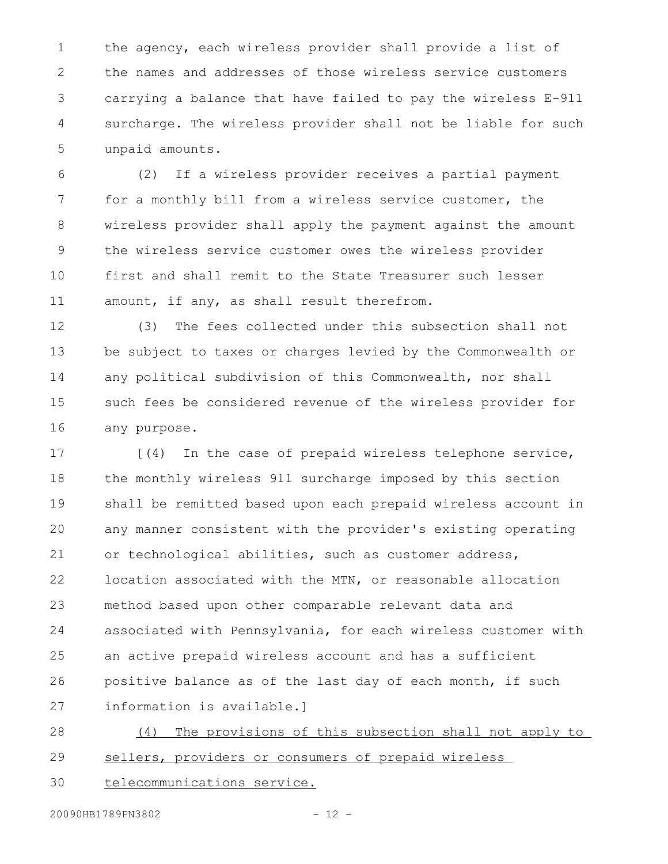the agency, each wireless provider shall provide a list of the names and addresses of those wireless service customers carrying a balance that have failed to pay the wireless E-911 surcharge. The wireless provider shall not be liable for such unpaid amounts. 1 2 3 4 5

(2) If a wireless provider receives a partial payment for a monthly bill from a wireless service customer, the wireless provider shall apply the payment against the amount the wireless service customer owes the wireless provider first and shall remit to the State Treasurer such lesser amount, if any, as shall result therefrom. 6 7 8 9 10 11

(3) The fees collected under this subsection shall not be subject to taxes or charges levied by the Commonwealth or any political subdivision of this Commonwealth, nor shall such fees be considered revenue of the wireless provider for any purpose. 12 13 14 15 16

[(4) In the case of prepaid wireless telephone service, the monthly wireless 911 surcharge imposed by this section shall be remitted based upon each prepaid wireless account in any manner consistent with the provider's existing operating or technological abilities, such as customer address, location associated with the MTN, or reasonable allocation method based upon other comparable relevant data and associated with Pennsylvania, for each wireless customer with an active prepaid wireless account and has a sufficient positive balance as of the last day of each month, if such information is available.] 17 18 19 20 21 22 23 24 25 26 27

(4) The provisions of this subsection shall not apply to sellers, providers or consumers of prepaid wireless 28 29

telecommunications service. 30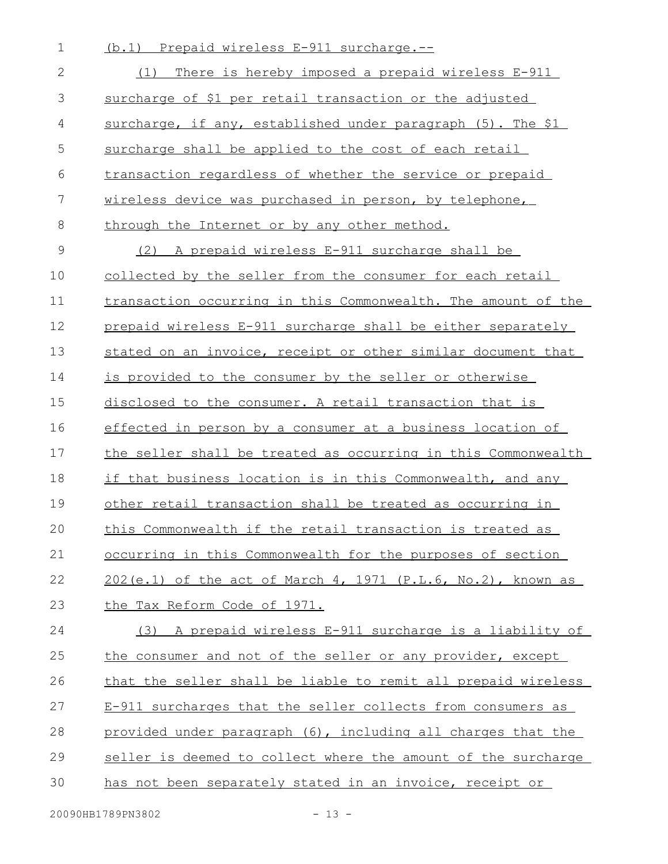- (b.1) Prepaid wireless E-911 surcharge.-- (1) There is hereby imposed a prepaid wireless E-911 surcharge of \$1 per retail transaction or the adjusted surcharge, if any, established under paragraph (5). The \$1 surcharge shall be applied to the cost of each retail transaction regardless of whether the service or prepaid wireless device was purchased in person, by telephone, through the Internet or by any other method. (2) A prepaid wireless E-911 surcharge shall be collected by the seller from the consumer for each retail transaction occurring in this Commonwealth. The amount of the prepaid wireless E-911 surcharge shall be either separately stated on an invoice, receipt or other similar document that is provided to the consumer by the seller or otherwise disclosed to the consumer. A retail transaction that is effected in person by a consumer at a business location of the seller shall be treated as occurring in this Commonwealth if that business location is in this Commonwealth, and any other retail transaction shall be treated as occurring in this Commonwealth if the retail transaction is treated as occurring in this Commonwealth for the purposes of section  $202(e.1)$  of the act of March 4, 1971 (P.L.6, No.2), known as the Tax Reform Code of 1971. (3) A prepaid wireless E-911 surcharge is a liability of the consumer and not of the seller or any provider, except that the seller shall be liable to remit all prepaid wireless E-911 surcharges that the seller collects from consumers as provided under paragraph (6), including all charges that the 1 2 3 4 5 6 7 8 9 10 11 12 13 14 15 16 17 18 19 20 21 22 23 24 25 26 27 28
- seller is deemed to collect where the amount of the surcharge 29
- has not been separately stated in an invoice, receipt or 30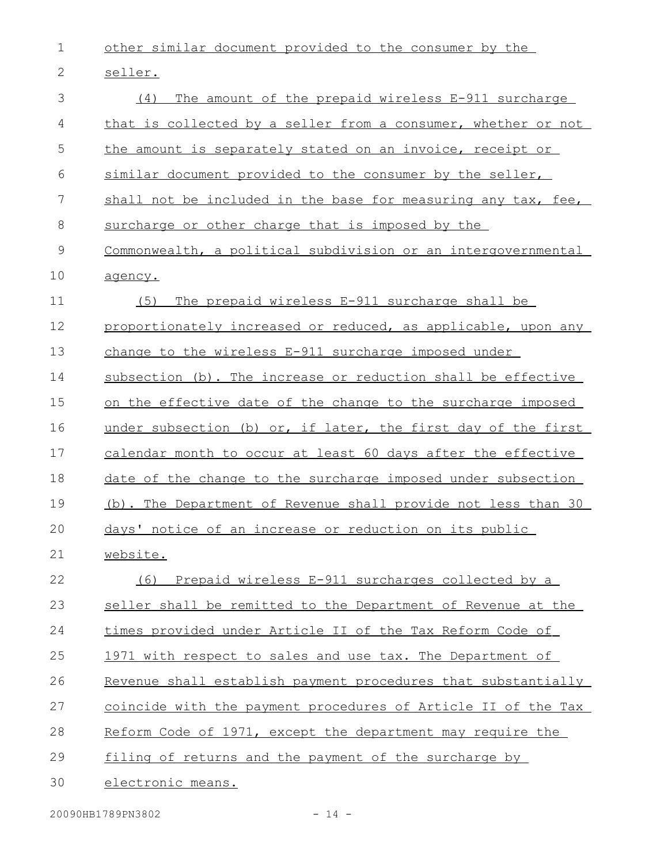1 other similar document provided to the consumer by the

2 seller.

| 3             | The amount of the prepaid wireless E-911 surcharge<br>(4)     |
|---------------|---------------------------------------------------------------|
| 4             | that is collected by a seller from a consumer, whether or not |
| 5             | the amount is separately stated on an invoice, receipt or     |
| 6             | similar document provided to the consumer by the seller,      |
| 7             | shall not be included in the base for measuring any tax, fee, |
| 8             | surcharge or other charge that is imposed by the              |
| $\mathcal{G}$ | Commonwealth, a political subdivision or an intergovernmental |
| 10            | agency.                                                       |
| 11            | The prepaid wireless E-911 surcharge shall be<br>(5)          |
| 12            | proportionately increased or reduced, as applicable, upon any |
| 13            | change to the wireless E-911 surcharge imposed under          |
| 14            | subsection (b). The increase or reduction shall be effective  |
| 15            | on the effective date of the change to the surcharge imposed  |
| 16            | under subsection (b) or, if later, the first day of the first |
| 17            | calendar month to occur at least 60 days after the effective  |
| 18            | date of the change to the surcharge imposed under subsection  |
| 19            | (b). The Department of Revenue shall provide not less than 30 |
| 20            | days' notice of an increase or reduction on its public        |
| 21            | website.                                                      |
| 22            | Prepaid wireless E-911 surcharges collected by a<br>(6)       |
| 23            | seller shall be remitted to the Department of Revenue at the  |
| 24            | times provided under Article II of the Tax Reform Code of     |
| 25            | 1971 with respect to sales and use tax. The Department of     |
| 26            | Revenue shall establish payment procedures that substantially |
| 27            | coincide with the payment procedures of Article II of the Tax |
| 28            | Reform Code of 1971, except the department may require the    |
| 29            | filing of returns and the payment of the surcharge by         |
| 30            | electronic means.                                             |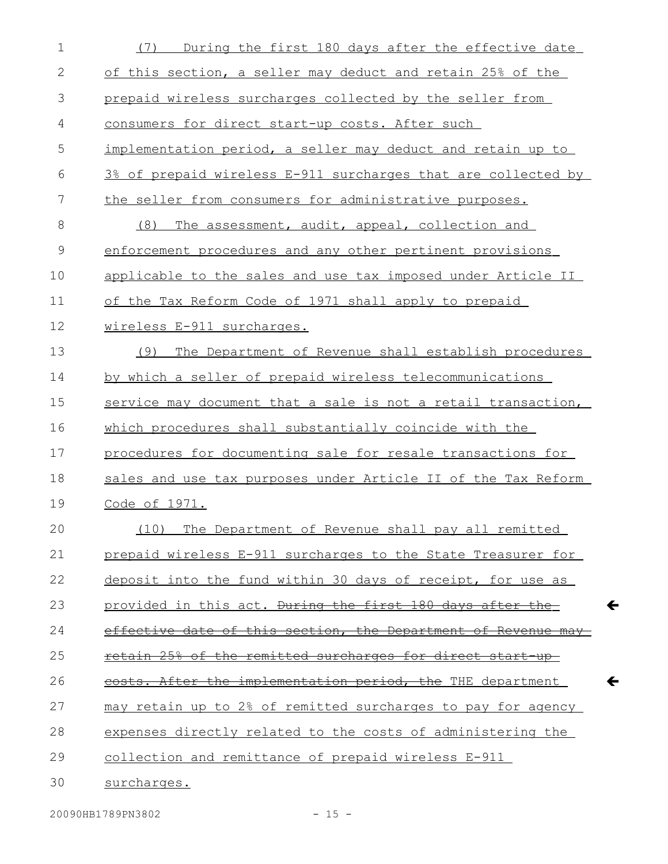| $\mathbf 1$  | During the first 180 days after the effective date<br>(7)      |
|--------------|----------------------------------------------------------------|
| $\mathbf{2}$ | of this section, a seller may deduct and retain 25% of the     |
| 3            | prepaid wireless surcharges collected by the seller from       |
| 4            | consumers for direct start-up costs. After such                |
| 5            | implementation period, a seller may deduct and retain up to    |
| 6            | 3% of prepaid wireless E-911 surcharges that are collected by  |
| 7            | the seller from consumers for administrative purposes.         |
| 8            | The assessment, audit, appeal, collection and<br>(8)           |
| 9            | enforcement procedures and any other pertinent provisions      |
| 10           | applicable to the sales and use tax imposed under Article II   |
| 11           | of the Tax Reform Code of 1971 shall apply to prepaid          |
| 12           | wireless E-911 surcharges.                                     |
| 13           | (9)<br>The Department of Revenue shall establish procedures    |
| 14           | by which a seller of prepaid wireless telecommunications       |
| 15           | service may document that a sale is not a retail transaction,  |
| 16           | which procedures shall substantially coincide with the         |
| 17           | procedures for documenting sale for resale transactions for    |
| 18           | sales and use tax purposes under Article II of the Tax Reform  |
| 19           | Code of 1971.                                                  |
| 20           | (10) The Department of Revenue shall pay all remitted          |
| 21           | prepaid wireless E-911 surcharges to the State Treasurer for   |
| 22           | deposit into the fund within 30 days of receipt, for use as    |
| 23           | provided in this act. During the first 180 days after the      |
| 24           | effective date of this section, the Department of Revenue may- |
| 25           | retain 25% of the remitted surcharges for direct start-up-     |
| 26           | costs. After the implementation period, the THE department     |
| 27           | may retain up to 2% of remitted surcharges to pay for agency   |
| 28           | expenses directly related to the costs of administering the    |
| 29           | collection and remittance of prepaid wireless E-911            |
| 30           | surcharges.                                                    |

 $\leftarrow$ 

 $\leftarrow$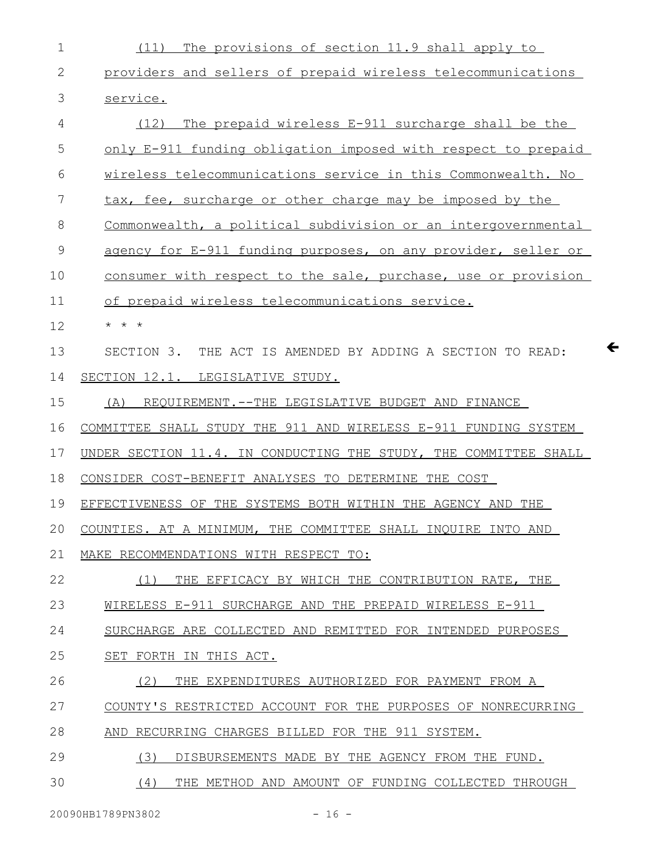| 1            | The provisions of section 11.9 shall apply to<br>(11)                      |
|--------------|----------------------------------------------------------------------------|
| $\mathbf{2}$ | providers and sellers of prepaid wireless telecommunications               |
| 3            | service.                                                                   |
| 4            | The prepaid wireless E-911 surcharge shall be the<br>(12)                  |
| 5            | only E-911 funding obligation imposed with respect to prepaid              |
| 6            | wireless telecommunications service in this Commonwealth. No               |
| 7            | tax, fee, surcharge or other charge may be imposed by the                  |
| 8            | Commonwealth, a political subdivision or an intergovernmental              |
| 9            | agency for E-911 funding purposes, on any provider, seller or              |
| 10           | consumer with respect to the sale, purchase, use or provision              |
| 11           | of prepaid wireless telecommunications service.                            |
| 12           | $\star$ $\star$ $\star$                                                    |
| 13           | $\leftarrow$<br>SECTION 3. THE ACT IS AMENDED BY ADDING A SECTION TO READ: |
| 14           | SECTION 12.1. LEGISLATIVE STUDY.                                           |
| 15           | REQUIREMENT. -- THE LEGISLATIVE BUDGET AND FINANCE<br>(A)                  |
| 16           | COMMITTEE SHALL STUDY THE 911 AND WIRELESS E-911 FUNDING SYSTEM            |
| 17           | UNDER SECTION 11.4. IN CONDUCTING THE STUDY, THE COMMITTEE SHALL           |
| 18           | CONSIDER COST-BENEFIT ANALYSES TO DETERMINE THE COST                       |
| 19           | EFFECTIVENESS OF THE SYSTEMS BOTH WITHIN THE AGENCY AND THE                |
| 20           | COUNTIES. AT A MINIMUM, THE COMMITTEE SHALL INQUIRE INTO AND               |
| 21           | MAKE RECOMMENDATIONS WITH RESPECT TO:                                      |
| 22           | THE EFFICACY BY WHICH THE CONTRIBUTION RATE, THE<br>(1)                    |
| 23           | WIRELESS E-911 SURCHARGE AND THE PREPAID WIRELESS E-911                    |
| 24           | SURCHARGE ARE COLLECTED AND REMITTED FOR INTENDED PURPOSES                 |
| 25           | SET FORTH IN THIS ACT.                                                     |
| 26           | (2)<br>THE EXPENDITURES AUTHORIZED FOR PAYMENT FROM A                      |
| 27           | COUNTY'S RESTRICTED ACCOUNT FOR THE PURPOSES OF NONRECURRING               |
| 28           | AND RECURRING CHARGES BILLED FOR THE 911 SYSTEM.                           |
| 29           | (3)<br>DISBURSEMENTS MADE BY THE AGENCY FROM THE FUND.                     |
| 30           | (4)<br>THE METHOD AND AMOUNT OF FUNDING COLLECTED THROUGH                  |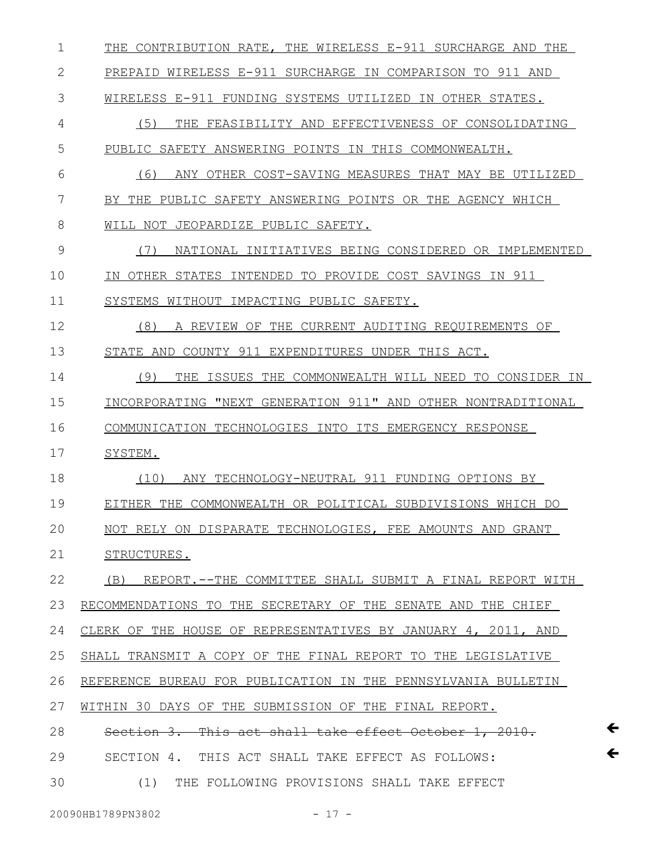| 1  | THE CONTRIBUTION RATE, THE WIRELESS E-911 SURCHARGE AND THE      |
|----|------------------------------------------------------------------|
| 2  | PREPAID WIRELESS E-911 SURCHARGE IN COMPARISON TO 911 AND        |
| 3  | WIRELESS E-911 FUNDING SYSTEMS UTILIZED IN OTHER STATES.         |
| 4  | (5)<br>FEASIBILITY AND EFFECTIVENESS OF CONSOLIDATING<br>THE     |
| 5  | PUBLIC SAFETY ANSWERING POINTS IN THIS COMMONWEALTH.             |
| 6  | (6)<br>ANY OTHER COST-SAVING MEASURES THAT MAY BE UTILIZED       |
| 7  | BY THE PUBLIC SAFETY ANSWERING POINTS OR THE AGENCY WHICH        |
| 8  | WILL NOT JEOPARDIZE PUBLIC SAFETY.                               |
| 9  | (7)<br>NATIONAL INITIATIVES BEING CONSIDERED OR IMPLEMENTED      |
| 10 | OTHER STATES INTENDED TO PROVIDE COST SAVINGS IN 911<br>T N -    |
| 11 | WITHOUT IMPACTING PUBLIC SAFETY.<br>SYSTEMS                      |
| 12 | (8)<br>THE CURRENT AUDITING REOUIREMENTS OF<br>A<br>REVIEW<br>OF |
| 13 | COUNTY 911 EXPENDITURES UNDER THIS ACT.<br>STATE AND             |
| 14 | (9)<br>THE ISSUES THE COMMONWEALTH WILL NEED TO CONSIDER IN      |
| 15 | INCORPORATING "NEXT GENERATION 911" AND OTHER NONTRADITIONAL     |
| 16 | COMMUNICATION TECHNOLOGIES INTO ITS EMERGENCY RESPONSE           |
| 17 | SYSTEM.                                                          |
| 18 | (10)<br>ANY TECHNOLOGY-NEUTRAL 911 FUNDING OPTIONS BY            |
| 19 | EITHER THE COMMONWEALTH OR POLITICAL SUBDIVISIONS WHICH DO       |
| 20 | NOT RELY ON DISPARATE TECHNOLOGIES, FEE AMOUNTS AND GRANT        |
| 21 | STRUCTURES.                                                      |
| 22 | (B) REPORT.--THE COMMITTEE SHALL SUBMIT A FINAL REPORT WITH      |
| 23 | RECOMMENDATIONS TO THE SECRETARY OF THE SENATE AND THE CHIEF     |
| 24 | CLERK OF THE HOUSE OF REPRESENTATIVES BY JANUARY 4, 2011, AND    |
| 25 | SHALL TRANSMIT A COPY OF THE FINAL REPORT TO THE LEGISLATIVE     |
| 26 | REFERENCE BUREAU FOR PUBLICATION IN THE PENNSYLVANIA BULLETIN    |
| 27 | WITHIN 30 DAYS OF THE SUBMISSION OF THE FINAL REPORT.            |
| 28 | Section 3. This act shall take effect October 1, 2010.           |
| 29 | SECTION 4. THIS ACT SHALL TAKE EFFECT AS FOLLOWS:                |
| 30 |                                                                  |

 $\leftarrow$ 

 $\leftarrow$